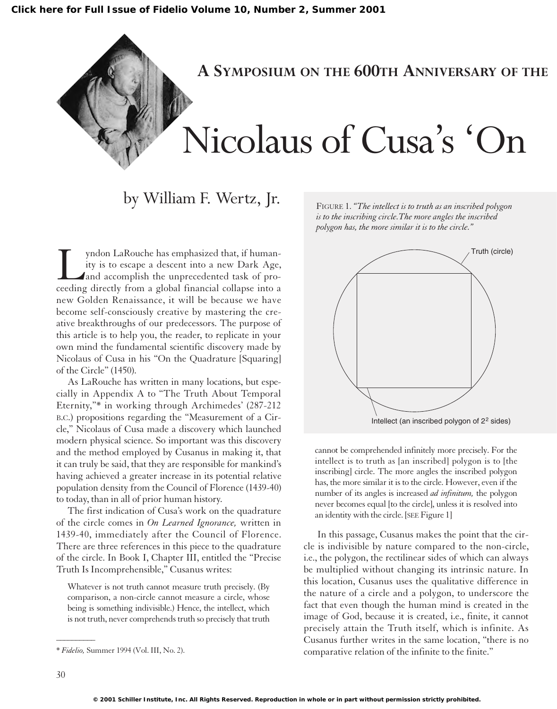

by William F. Wertz, Jr.

I yndon LaRouche has emphasized that, if human-<br>ity is to escape a descent into a new Dark Age,<br>and accomplish the unprecedented task of pro-<br>ceeding directly from a global financial collapse into a ity is to escape a descent into a new Dark Age, and accomplish the unprecedented task of proceeding directly from a global financial collapse into a new Golden Renaissance, it will be because we have become self-consciously creative by mastering the creative breakthroughs of our predecessors. The purpose of this article is to help you, the reader, to replicate in your own mind the fundamental scientific discovery made by Nicolaus of Cusa in his "On the Quadrature [Squaring] of the Circle" (1450).

As LaRouche has written in many locations, but especially in Appendix A to "The Truth About Temporal Eternity,"\* in working through Archimedes' (287-212 B.C.) propositions regarding the "Measurement of a Circle," Nicolaus of Cusa made a discovery which launched modern physical science. So important was this discovery and the method employed by Cusanus in making it, that it can truly be said, that they are responsible for mankind's having achieved a greater increase in its potential relative population density from the Council of Florence (1439-40) to today, than in all of prior human history.

The first indication of Cusa's work on the quadrature of the circle comes in *On Learned Ignorance,* written in 1439-40, immediately after the Council of Florence. There are three references in this piece to the quadrature of the circle. In Book I, Chapter III, entitled the "Precise Truth Is Incomprehensible," Cusanus writes:

Whatever is not truth cannot measure truth precisely. (By comparison, a non-circle cannot measure a circle, whose being is something indivisible.) Hence, the intellect, which is not truth, never comprehends truth so precisely that truth FIGURE 1. *"The intellect is to truth as an inscribed polygon is to the inscribing circle.The more angles the inscribed polygon has, the more similar it is to the circle."*



cannot be comprehended infinitely more precisely. For the intellect is to truth as [an inscribed] polygon is to [the inscribing] circle. The more angles the inscribed polygon has, the more similar it is to the circle. However, even if the number of its angles is increased *ad infinitum,* the polygon never becomes equal [to the circle], unless it is resolved into an identity with the circle. [SEE Figure 1]

In this passage, Cusanus makes the point that the circle is indivisible by nature compared to the non-circle, i.e., the polygon, the rectilinear sides of which can always be multiplied without changing its intrinsic nature. In this location, Cusanus uses the qualitative difference in the nature of a circle and a polygon, to underscore the fact that even though the human mind is created in the image of God, because it is created, i.e., finite, it cannot precisely attain the Truth itself, which is infinite. As Cusanus further writes in the same location, "there is no comparative relation of the infinite to the finite."

 $\overline{\phantom{a}}$ 

<sup>\*</sup> *Fidelio,* Summer 1994 (Vol. III, No. 2).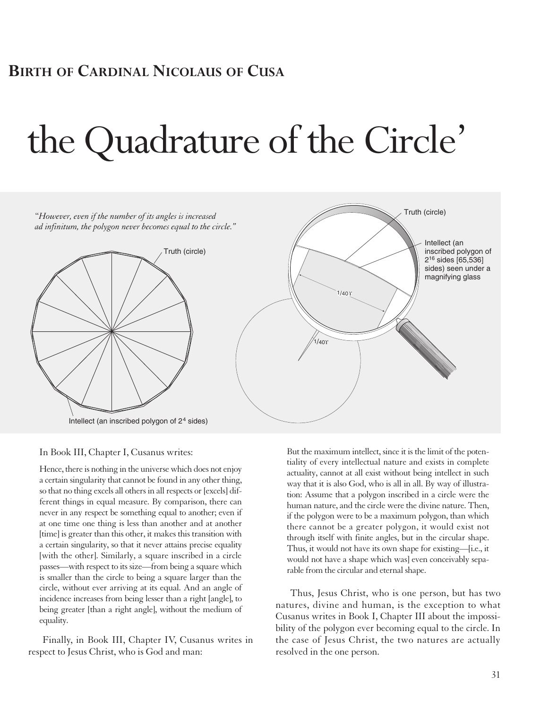## **BIRTH OF CARDINAL NICOLAUS OF CUSA**

# the Quadrature of the Circle'



In Book III, Chapter I, Cusanus writes:

Hence, there is nothing in the universe which does not enjoy a certain singularity that cannot be found in any other thing, so that no thing excels all others in all respects or [excels] different things in equal measure. By comparison, there can never in any respect be something equal to another; even if at one time one thing is less than another and at another [time] is greater than this other, it makes this transition with a certain singularity, so that it never attains precise equality [with the other]. Similarly, a square inscribed in a circle passes—with respect to its size—from being a square which is smaller than the circle to being a square larger than the circle, without ever arriving at its equal. And an angle of incidence increases from being lesser than a right [angle], to being greater [than a right angle], without the medium of equality.

Finally, in Book III, Chapter IV, Cusanus writes in respect to Jesus Christ, who is God and man:

But the maximum intellect, since it is the limit of the potentiality of every intellectual nature and exists in complete actuality, cannot at all exist without being intellect in such way that it is also God, who is all in all. By way of illustration: Assume that a polygon inscribed in a circle were the human nature, and the circle were the divine nature. Then, if the polygon were to be a maximum polygon, than which there cannot be a greater polygon, it would exist not through itself with finite angles, but in the circular shape. Thus, it would not have its own shape for existing—[i.e., it would not have a shape which was] even conceivably separable from the circular and eternal shape.

Thus, Jesus Christ, who is one person, but has two natures, divine and human, is the exception to what Cusanus writes in Book I, Chapter III about the impossibility of the polygon ever becoming equal to the circle. In the case of Jesus Christ, the two natures are actually resolved in the one person.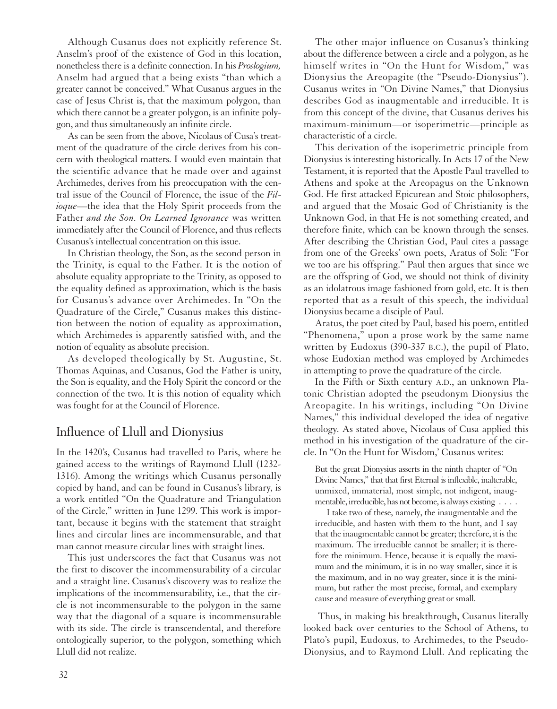Although Cusanus does not explicitly reference St. Anselm's proof of the existence of God in this location, nonetheless there is a definite connection. In his *Proslogium,* Anselm had argued that a being exists "than which a greater cannot be conceived." What Cusanus argues in the case of Jesus Christ is, that the maximum polygon, than which there cannot be a greater polygon, is an infinite polygon, and thus simultaneously an infinite circle.

As can be seen from the above, Nicolaus of Cusa's treatment of the quadrature of the circle derives from his concern with theological matters. I would even maintain that the scientific advance that he made over and against Archimedes, derives from his preoccupation with the central issue of the Council of Florence, the issue of the *Filioque*—the idea that the Holy Spirit proceeds from the Father *and the Son. On Learned Ignorance* was written immediately after the Council of Florence, and thus reflects Cusanus's intellectual concentration on this issue.

In Christian theology, the Son, as the second person in the Trinity, is equal to the Father. It is the notion of absolute equality appropriate to the Trinity, as opposed to the equality defined as approximation, which is the basis for Cusanus's advance over Archimedes. In "On the Quadrature of the Circle," Cusanus makes this distinction between the notion of equality as approximation, which Archimedes is apparently satisfied with, and the notion of equality as absolute precision.

As developed theologically by St. Augustine, St. Thomas Aquinas, and Cusanus, God the Father is unity, the Son is equality, and the Holy Spirit the concord or the connection of the two. It is this notion of equality which was fought for at the Council of Florence.

## Influence of Llull and Dionysius

In the 1420's, Cusanus had travelled to Paris, where he gained access to the writings of Raymond Llull (1232- 1316). Among the writings which Cusanus personally copied by hand, and can be found in Cusanus's library, is a work entitled "On the Quadrature and Triangulation of the Circle," written in June 1299. This work is important, because it begins with the statement that straight lines and circular lines are incommensurable, and that man cannot measure circular lines with straight lines.

This just underscores the fact that Cusanus was not the first to discover the incommensurability of a circular and a straight line. Cusanus's discovery was to realize the implications of the incommensurability, i.e., that the circle is not incommensurable to the polygon in the same way that the diagonal of a square is incommensurable with its side. The circle is transcendental, and therefore ontologically superior, to the polygon, something which Llull did not realize.

The other major influence on Cusanus's thinking about the difference between a circle and a polygon, as he himself writes in "On the Hunt for Wisdom," was Dionysius the Areopagite (the "Pseudo-Dionysius"). Cusanus writes in "On Divine Names," that Dionysius describes God as inaugmentable and irreducible. It is from this concept of the divine, that Cusanus derives his maximum-minimum—or isoperimetric—principle as characteristic of a circle.

This derivation of the isoperimetric principle from Dionysius is interesting historically. In Acts 17 of the New Testament, it is reported that the Apostle Paul travelled to Athens and spoke at the Areopagus on the Unknown God. He first attacked Epicurean and Stoic philosophers, and argued that the Mosaic God of Christianity is the Unknown God, in that He is not something created, and therefore finite, which can be known through the senses. After describing the Christian God, Paul cites a passage from one of the Greeks' own poets, Aratus of Soli: "For we too are his offspring." Paul then argues that since we are the offspring of God, we should not think of divinity as an idolatrous image fashioned from gold, etc. It is then reported that as a result of this speech, the individual Dionysius became a disciple of Paul.

Aratus, the poet cited by Paul, based his poem, entitled "Phenomena," upon a prose work by the same name written by Eudoxus (390-337 B.C.), the pupil of Plato, whose Eudoxian method was employed by Archimedes in attempting to prove the quadrature of the circle.

In the Fifth or Sixth century A.D., an unknown Platonic Christian adopted the pseudonym Dionysius the Areopagite. In his writings, including "On Divine Names," this individual developed the idea of negative theology. As stated above, Nicolaus of Cusa applied this method in his investigation of the quadrature of the circle. In "On the Hunt for Wisdom,' Cusanus writes:

But the great Dionysius asserts in the ninth chapter of "On Divine Names," that that first Eternal is inflexible, inalterable, unmixed, immaterial, most simple, not indigent, inaugmentable, irreducible, has not become, is always existing . . . .

I take two of these, namely, the inaugmentable and the irreducible, and hasten with them to the hunt, and I say that the inaugmentable cannot be greater; therefore, it is the maximum. The irreducible cannot be smaller; it is therefore the minimum. Hence, because it is equally the maximum and the minimum, it is in no way smaller, since it is the maximum, and in no way greater, since it is the minimum, but rather the most precise, formal, and exemplary cause and measure of everything great or small.

Thus, in making his breakthrough, Cusanus literally looked back over centuries to the School of Athens, to Plato's pupil, Eudoxus, to Archimedes, to the Pseudo-Dionysius, and to Raymond Llull. And replicating the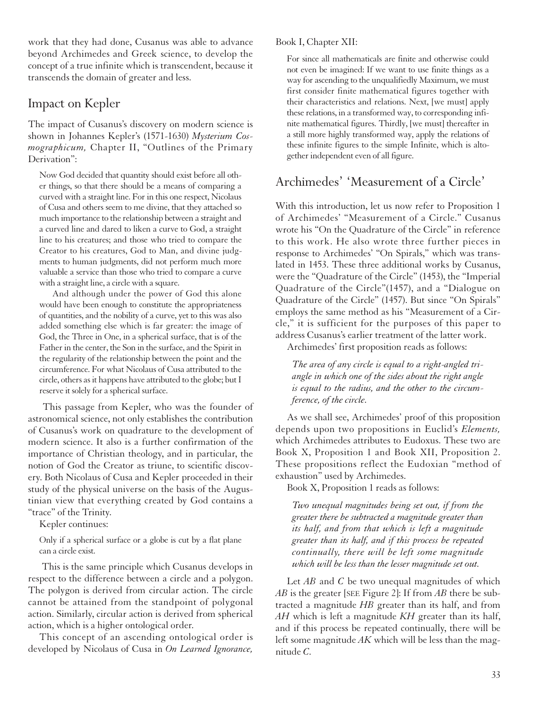work that they had done, Cusanus was able to advance beyond Archimedes and Greek science, to develop the concept of a true infinite which is transcendent, because it transcends the domain of greater and less.

## Impact on Kepler

The impact of Cusanus's discovery on modern science is shown in Johannes Kepler's (1571-1630) *Mysterium Cosmographicum,* Chapter II, "Outlines of the Primary Derivation":

Now God decided that quantity should exist before all other things, so that there should be a means of comparing a curved with a straight line. For in this one respect, Nicolaus of Cusa and others seem to me divine, that they attached so much importance to the relationship between a straight and a curved line and dared to liken a curve to God, a straight line to his creatures; and those who tried to compare the Creator to his creatures, God to Man, and divine judgments to human judgments, did not perform much more valuable a service than those who tried to compare a curve with a straight line, a circle with a square.

And although under the power of God this alone would have been enough to constitute the appropriateness of quantities, and the nobility of a curve, yet to this was also added something else which is far greater: the image of God, the Three in One, in a spherical surface, that is of the Father in the center, the Son in the surface, and the Spirit in the regularity of the relationship between the point and the circumference. For what Nicolaus of Cusa attributed to the circle, others as it happens have attributed to the globe; but I reserve it solely for a spherical surface.

This passage from Kepler, who was the founder of astronomical science, not only establishes the contribution of Cusanus's work on quadrature to the development of modern science. It also is a further confirmation of the importance of Christian theology, and in particular, the notion of God the Creator as triune, to scientific discovery. Both Nicolaus of Cusa and Kepler proceeded in their study of the physical universe on the basis of the Augustinian view that everything created by God contains a "trace" of the Trinity.

Kepler continues:

Only if a spherical surface or a globe is cut by a flat plane can a circle exist.

This is the same principle which Cusanus develops in respect to the difference between a circle and a polygon. The polygon is derived from circular action. The circle cannot be attained from the standpoint of polygonal action. Similarly, circular action is derived from spherical action, which is a higher ontological order.

This concept of an ascending ontological order is developed by Nicolaus of Cusa in *On Learned Ignorance,*

#### Book I, Chapter XII:

For since all mathematicals are finite and otherwise could not even be imagined: If we want to use finite things as a way for ascending to the unqualifiedly Maximum, we must first consider finite mathematical figures together with their characteristics and relations. Next, [we must] apply these relations, in a transformed way, to corresponding infinite mathematical figures. Thirdly, [we must] thereafter in a still more highly transformed way, apply the relations of these infinite figures to the simple Infinite, which is altogether independent even of all figure.

## Archimedes' 'Measurement of a Circle'

With this introduction, let us now refer to Proposition 1 of Archimedes' "Measurement of a Circle." Cusanus wrote his "On the Quadrature of the Circle" in reference to this work. He also wrote three further pieces in response to Archimedes' "On Spirals," which was translated in 1453. These three additional works by Cusanus, were the "Quadrature of the Circle" (1453), the "Imperial Quadrature of the Circle"(1457), and a "Dialogue on Quadrature of the Circle" (1457). But since "On Spirals" employs the same method as his "Measurement of a Circle," it is sufficient for the purposes of this paper to address Cusanus's earlier treatment of the latter work.

Archimedes' first proposition reads as follows:

*The area of any circle is equal to a right-angled triangle in which one of the sides about the right angle is equal to the radius, and the other to the circumference, of the circle.*

As we shall see, Archimedes' proof of this proposition depends upon two propositions in Euclid's *Elements,* which Archimedes attributes to Eudoxus. These two are Book X, Proposition 1 and Book XII, Proposition 2. These propositions reflect the Eudoxian "method of exhaustion" used by Archimedes.

Book X, Proposition 1 reads as follows:

*Two unequal magnitudes being set out, if from the greater there be subtracted a magnitude greater than its half, and from that which is left a magnitude greater than its half, and if this process be repeated continually, there will be left some magnitude which will be less than the lesser magnitude set out.*

Let *AB* and *C* be two unequal magnitudes of which *AB* is the greater [SEE Figure 2]: If from *AB* there be subtracted a magnitude *HB* greater than its half, and from *AH* which is left a magnitude *KH* greater than its half, and if this process be repeated continually, there will be left some magnitude *AK* which will be less than the magnitude *C.*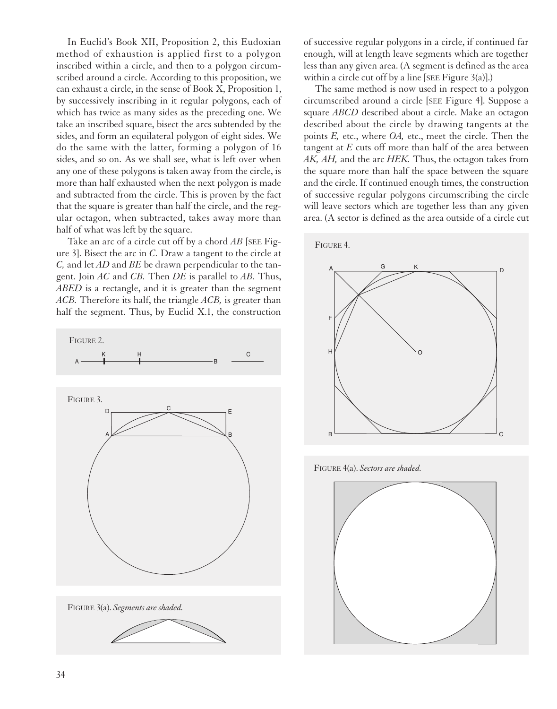In Euclid's Book XII, Proposition 2, this Eudoxian method of exhaustion is applied first to a polygon inscribed within a circle, and then to a polygon circumscribed around a circle. According to this proposition, we can exhaust a circle, in the sense of Book X, Proposition 1, by successively inscribing in it regular polygons, each of which has twice as many sides as the preceding one. We take an inscribed square, bisect the arcs subtended by the sides, and form an equilateral polygon of eight sides. We do the same with the latter, forming a polygon of 16 sides, and so on. As we shall see, what is left over when any one of these polygons is taken away from the circle, is more than half exhausted when the next polygon is made and subtracted from the circle. This is proven by the fact that the square is greater than half the circle, and the regular octagon, when subtracted, takes away more than half of what was left by the square.

Take an arc of a circle cut off by a chord *AB* [SEE Figure 3]. Bisect the arc in *C.* Draw a tangent to the circle at *C,* and let *AD* and *BE* be drawn perpendicular to the tangent. Join *AC* and *CB.* Then *DE* is parallel to *AB.* Thus, *ABED* is a rectangle, and it is greater than the segment *ACB.* Therefore its half, the triangle *ACB,* is greater than half the segment. Thus, by Euclid X.1, the construction and is greater than hand the energy and<br>the subtracted, takes away mot was left by the square.<br>arc of a circle cut off by a chord AB [st the arc in C. Draw a tangent to the<br>D and BE be drawn perpendicular to<br>IC and CB. The



of successive regular polygons in a circle, if continued far enough, will at length leave segments which are together less than any given area. (A segment is defined as the area within a circle cut off by a line [SEE Figure 3(a)].)

The same method is now used in respect to a polygon circumscribed around a circle [SEE Figure 4]. Suppose a square *ABCD* described about a circle. Make an octagon described about the circle by drawing tangents at the points *E,* etc., where *OA,* etc., meet the circle. Then the tangent at *E* cuts off more than half of the area between *AK, AH,* and the arc *HEK.* Thus, the octagon takes from the square more than half the space between the square and the circle. If continued enough times, the construction of successive regular polygons circumscribing the circle will leave sectors which are together less than any given area. (A sector is defined as the area outside of a circle cut



FIGURE 4(a). *Sectors are shaded.*

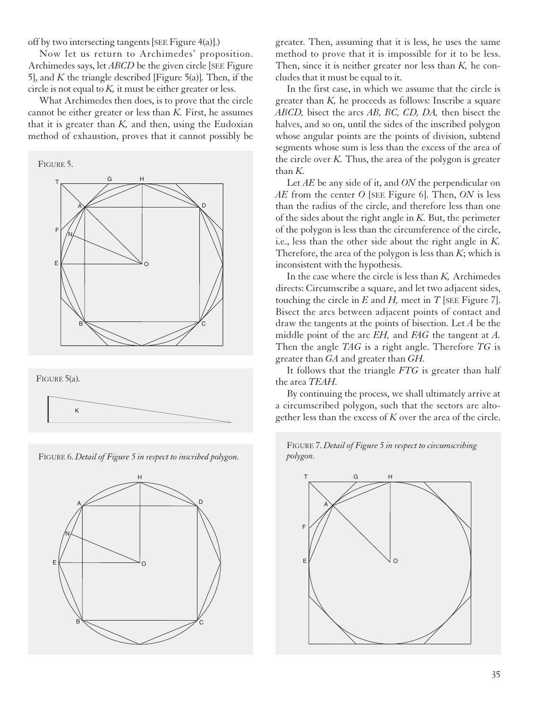off by two intersecting tangents [SEE Figure 4(a)].)

Now let us return to Archimedes' proposition. Archimedes says, let *ABCD* be the given circle [SEE Figure 5], and *K* the triangle described [Figure 5(a)]. Then, if the circle is not equal to *K,* it must be either greater or less.

What Archimedes then does, is to prove that the circle cannot be either greater or less than *K.* First, he assumes that it is greater than *K,* and then, using the Eudoxian method of exhaustion, proves that it cannot possibly be





FIGURE 6. *Detail of Figure 5 in respect to inscribed polygon.*



greater. Then, assuming that it is less, he uses the same method to prove that it is impossible for it to be less. Then, since it is neither greater nor less than *K,* he concludes that it must be equal to it.

In the first case, in which we assume that the circle is greater than *K,* he proceeds as follows: Inscribe a square *ABCD,* bisect the arcs *AB, BC, CD, DA,* then bisect the halves, and so on, until the sides of the inscribed polygon whose angular points are the points of division, subtend segments whose sum is less than the excess of the area of the circle over *K.* Thus, the area of the polygon is greater than *K.*

Let *AE* be any side of it, and *ON* the perpendicular on *AE* from the center *O* [SEE Figure 6]. Then, *ON* is less than the radius of the circle, and therefore less than one of the sides about the right angle in *K.* But, the perimeter of the polygon is less than the circumference of the circle, i.e., less than the other side about the right angle in *K.* Therefore, the area of the polygon is less than *K*; which is inconsistent with the hypothesis.

In the case where the circle is less than *K,* Archimedes directs: Circumscribe a square, and let two adjacent sides, touching the circle in  $E$  and  $H$ , meet in  $T$  [SEE Figure 7]. Bisect the arcs between adjacent points of contact and draw the tangents at the points of bisection. Let *A* be the middle point of the arc *EH,* and *FAG* the tangent at *A.* Then the angle *TAG* is a right angle. Therefore *TG* is greater than *GA* and greater than *GH.*

It follows that the triangle *FTG* is greater than half the area *TEAH.*

By continuing the process, we shall ultimately arrive at a circumscribed polygon, such that the sectors are altogether less than the excess of *K* over the area of the circle.



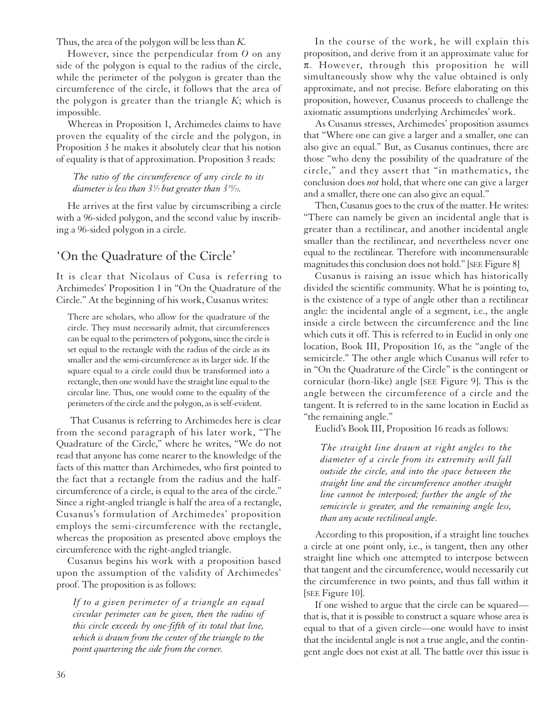Thus, the area of the polygon will be less than *K.*

However, since the perpendicular from *O* on any side of the polygon is equal to the radius of the circle, while the perimeter of the polygon is greater than the circumference of the circle, it follows that the area of the polygon is greater than the triangle *K*; which is impossible.

Whereas in Proposition 1, Archimedes claims to have proven the equality of the circle and the polygon, in Proposition 3 he makes it absolutely clear that his notion of equality is that of approximation. Proposition 3 reads:

*The ratio of the circumference of any circle to its diameter is less than 31 ⁄7 but greater than 310⁄71.*

He arrives at the first value by circumscribing a circle with a 96-sided polygon, and the second value by inscribing a 96-sided polygon in a circle.

## 'On the Quadrature of the Circle'

It is clear that Nicolaus of Cusa is referring to Archimedes' Proposition 1 in "On the Quadrature of the Circle." At the beginning of his work, Cusanus writes:

There are scholars, who allow for the quadrature of the circle. They must necessarily admit, that circumferences can be equal to the perimeters of polygons, since the circle is set equal to the rectangle with the radius of the circle as its smaller and the semi-circumference as its larger side. If the square equal to a circle could thus be transformed into a rectangle, then one would have the straight line equal to the circular line. Thus, one would come to the equality of the perimeters of the circle and the polygon, as is self-evident.

That Cusanus is referring to Archimedes here is clear from the second paragraph of his later work, "The Quadrature of the Circle," where he writes, "We do not read that anyone has come nearer to the knowledge of the facts of this matter than Archimedes, who first pointed to the fact that a rectangle from the radius and the halfcircumference of a circle, is equal to the area of the circle." Since a right-angled triangle is half the area of a rectangle, Cusanus's formulation of Archimedes' proposition employs the semi-circumference with the rectangle, whereas the proposition as presented above employs the circumference with the right-angled triangle.

Cusanus begins his work with a proposition based upon the assumption of the validity of Archimedes' proof. The proposition is as follows:

*If to a given perimeter of a triangle an equal circular perimeter can be given, then the radius of this circle exceeds by one-fifth of its total that line, which is drawn from the center of the triangle to the point quartering the side from the corner.*

In the course of the work, he will explain this proposition, and derive from it an approximate value for  $\pi$ . However, through this proposition he will simultaneously show why the value obtained is only approximate, and not precise. Before elaborating on this proposition, however, Cusanus proceeds to challenge the axiomatic assumptions underlying Archimedes' work.

As Cusanus stresses, Archimedes' proposition assumes that "Where one can give a larger and a smaller, one can also give an equal." But, as Cusanus continues, there are those "who deny the possibility of the quadrature of the circle," and they assert that "in mathematics, the conclusion does *not* hold, that where one can give a larger and a smaller, there one can also give an equal."

Then, Cusanus goes to the crux of the matter. He writes: "There can namely be given an incidental angle that is greater than a rectilinear, and another incidental angle smaller than the rectilinear, and nevertheless never one equal to the rectilinear. Therefore with incommensurable magnitudes this conclusion does not hold." [SEE Figure 8]

Cusanus is raising an issue which has historically divided the scientific community. What he is pointing to, is the existence of a type of angle other than a rectilinear angle: the incidental angle of a segment, i.e., the angle inside a circle between the circumference and the line which cuts it off. This is referred to in Euclid in only one location, Book III, Proposition 16, as the "angle of the semicircle." The other angle which Cusanus will refer to in "On the Quadrature of the Circle" is the contingent or cornicular (horn-like) angle [SEE Figure 9]. This is the angle between the circumference of a circle and the tangent. It is referred to in the same location in Euclid as "the remaining angle."

Euclid's Book III, Proposition 16 reads as follows:

*The straight line drawn at right angles to the diameter of a circle from its extremity will fall outside the circle, and into the space between the straight line and the circumference another straight line cannot be interposed; further the angle of the semicircle is greater, and the remaining angle less, than any acute rectilineal angle.*

According to this proposition, if a straight line touches a circle at one point only, i.e., is tangent, then any other straight line which one attempted to interpose between that tangent and the circumference, would necessarily cut the circumference in two points, and thus fall within it [SEE Figure 10].

If one wished to argue that the circle can be squared that is, that it is possible to construct a square whose area is equal to that of a given circle—one would have to insist that the incidental angle is not a true angle, and the contingent angle does not exist at all. The battle over this issue is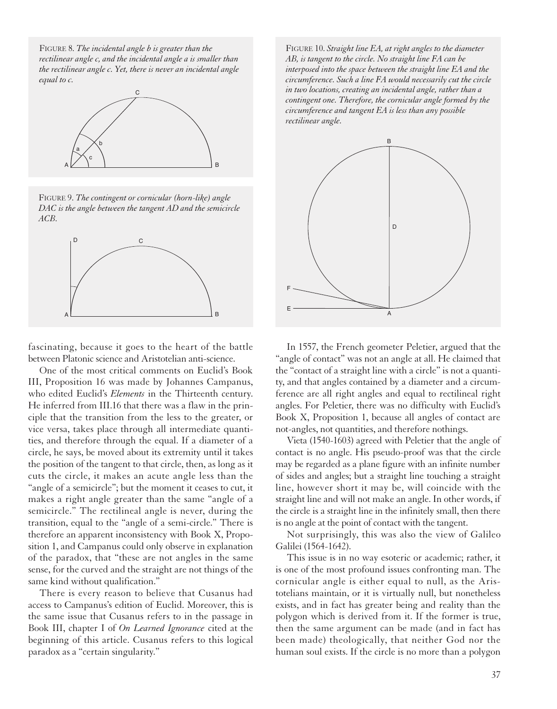rectilinear angle c, and the incidental angle a is smaller than FIGURE 8. *The incidental angle b is greater than the the rectilinear angle c. Yet, there is never an incidental angle equal to c.*



FIGURE 9. *The contingent or cornicular (horn-like) angle DAC is the angle between the tangent AD and the semicircle ACB.*



fascinating, because it goes to the heart of the battle between Platonic science and Aristotelian anti-science.

One of the most critical comments on Euclid's Book III, Proposition 16 was made by Johannes Campanus, who edited Euclid's *Elements* in the Thirteenth century. He inferred from III.16 that there was a flaw in the principle that the transition from the less to the greater, or c vice versa, takes place through all intermediate quantities, and therefore through the equal. If a diameter of a circle, he says, be moved about its extremity until it takes the position of the tangent to that circle, then, as long as it cuts the circle, it makes an acute angle less than the "angle of a semicircle"; but the moment it ceases to cut, it makes a right angle greater than the same "angle of a semicircle." The rectilineal angle is never, during the transition, equal to the "angle of a semi-circle." There is therefore an apparent inconsistency with Book X, Proposition 1, and Campanus could only observe in explanation of the paradox, that "these are not angles in the same sense, for the curved and the straight are not things of the same kind without qualification."

There is every reason to believe that Cusanus had access to Campanus's edition of Euclid. Moreover, this is the same issue that Cusanus refers to in the passage in Book III, chapter I of *On Learned Ignorance* cited at the beginning of this article. Cusanus refers to this logical paradox as a "certain singularity."

FIGURE 10. *Straight line EA, at right angles to the diameter AB, is tangent to the circle. No straight line FA can be interposed into the space between the straight line EA and the circumference. Such a line FA would necessarily cut the circle in two locations, creating an incidental angle, rather than a contingent one. Therefore, the cornicular angle formed by the circumference and tangent EA is less than any possible rectilinear angle.*



In 1557, the French geometer Peletier, argued that the "angle of contact" was not an angle at all. He claimed that the "contact of a straight line with a circle" is not a quantity, and that angles contained by a diameter and a circumference are all right angles and equal to rectilineal right angles. For Peletier, there was no difficulty with Euclid's Book X, Proposition 1, because all angles of contact are not-angles, not quantities, and therefore nothings.

Vieta (1540-1603) agreed with Peletier that the angle of contact is no angle. His pseudo-proof was that the circle may be regarded as a plane figure with an infinite number of sides and angles; but a straight line touching a straight line, however short it may be, will coincide with the straight line and will not make an angle. In other words, if the circle is a straight line in the infinitely small, then there is no angle at the point of contact with the tangent.

Not surprisingly, this was also the view of Galileo Galilei (1564-1642).

This issue is in no way esoteric or academic; rather, it is one of the most profound issues confronting man. The cornicular angle is either equal to null, as the Aristotelians maintain, or it is virtually null, but nonetheless exists, and in fact has greater being and reality than the polygon which is derived from it. If the former is true, then the same argument can be made (and in fact has been made) theologically, that neither God nor the human soul exists. If the circle is no more than a polygon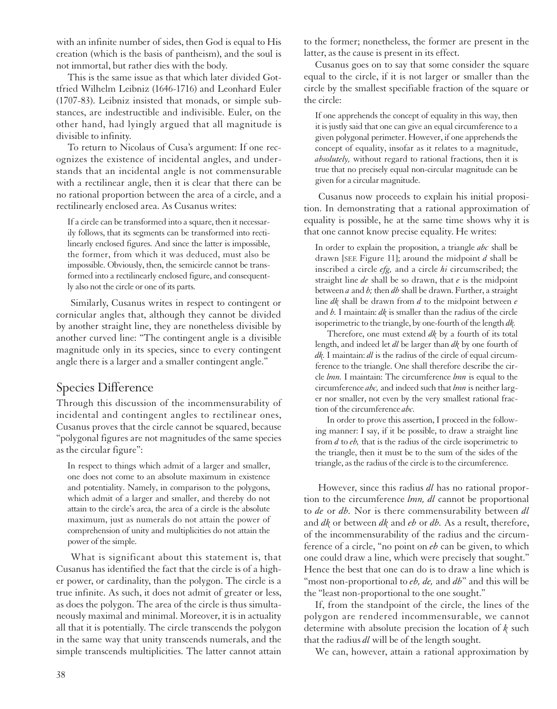with an infinite number of sides, then God is equal to His creation (which is the basis of pantheism), and the soul is not immortal, but rather dies with the body.

This is the same issue as that which later divided Gottfried Wilhelm Leibniz (1646-1716) and Leonhard Euler (1707-83). Leibniz insisted that monads, or simple substances, are indestructible and indivisible. Euler, on the other hand, had lyingly argued that all magnitude is divisible to infinity.

To return to Nicolaus of Cusa's argument: If one recognizes the existence of incidental angles, and understands that an incidental angle is not commensurable with a rectilinear angle, then it is clear that there can be no rational proportion between the area of a circle, and a rectilinearly enclosed area. As Cusanus writes:

If a circle can be transformed into a square, then it necessarily follows, that its segments can be transformed into rectilinearly enclosed figures. And since the latter is impossible, the former, from which it was deduced, must also be impossible. Obviously, then, the semicircle cannot be transformed into a rectilinearly enclosed figure, and consequently also not the circle or one of its parts.

Similarly, Cusanus writes in respect to contingent or cornicular angles that, although they cannot be divided by another straight line, they are nonetheless divisible by another curved line: "The contingent angle is a divisible magnitude only in its species, since to every contingent angle there is a larger and a smaller contingent angle."

### Species Difference

Through this discussion of the incommensurability of incidental and contingent angles to rectilinear ones, Cusanus proves that the circle cannot be squared, because "polygonal figures are not magnitudes of the same species as the circular figure":

In respect to things which admit of a larger and smaller, one does not come to an absolute maximum in existence and potentiality. Namely, in comparison to the polygons, which admit of a larger and smaller, and thereby do not attain to the circle's area, the area of a circle is the absolute maximum, just as numerals do not attain the power of comprehension of unity and multiplicities do not attain the power of the simple.

What is significant about this statement is, that Cusanus has identified the fact that the circle is of a higher power, or cardinality, than the polygon. The circle is a true infinite. As such, it does not admit of greater or less, as does the polygon. The area of the circle is thus simultaneously maximal and minimal. Moreover, it is in actuality all that it is potentially. The circle transcends the polygon in the same way that unity transcends numerals, and the simple transcends multiplicities. The latter cannot attain to the former; nonetheless, the former are present in the latter, as the cause is present in its effect.

Cusanus goes on to say that some consider the square equal to the circle, if it is not larger or smaller than the circle by the smallest specifiable fraction of the square or the circle:

If one apprehends the concept of equality in this way, then it is justly said that one can give an equal circumference to a given polygonal perimeter. However, if one apprehends the concept of equality, insofar as it relates to a magnitude, *absolutely,* without regard to rational fractions, then it is true that no precisely equal non-circular magnitude can be given for a circular magnitude.

Cusanus now proceeds to explain his initial proposition. In demonstrating that a rational approximation of equality is possible, he at the same time shows why it is that one cannot know precise equality. He writes:

In order to explain the proposition, a triangle *abc* shall be drawn [SEE Figure 11]; around the midpoint *d* shall be inscribed a circle *efg,* and a circle *hi* circumscribed; the straight line *de* shall be so drawn, that *e* is the midpoint between *a* and *b;* then *db* shall be drawn. Further, a straight line *dk* shall be drawn from *d* to the midpoint between *e* and *b.* I maintain: *dk* is smaller than the radius of the circle isoperimetric to the triangle, by one-fourth of the length *dk.*

Therefore, one must extend *dk* by a fourth of its total length, and indeed let *dl* be larger than *dk* by one fourth of *dk.* I maintain: *dl* is the radius of the circle of equal circumference to the triangle. One shall therefore describe the circle *lmn.* I maintain: The circumference *lmn* is equal to the circumference *abc,* and indeed such that *lmn* is neither larger nor smaller, not even by the very smallest rational fraction of the circumference *abc.*

In order to prove this assertion, I proceed in the following manner: I say, if it be possible, to draw a straight line from *d* to *eb,* that is the radius of the circle isoperimetric to the triangle, then it must be to the sum of the sides of the triangle, as the radius of the circle is to the circumference.

However, since this radius *dl* has no rational proportion to the circumference *lmn, dl* cannot be proportional to *de* or *db.* Nor is there commensurability between *dl* and *dk* or between *dk* and *eb* or *db.* As a result, therefore, of the incommensurability of the radius and the circumference of a circle, "no point on *eb* can be given, to which one could draw a line, which were precisely that sought." Hence the best that one can do is to draw a line which is "most non-proportional to *eb, de,* and *db*" and this will be the "least non-proportional to the one sought."

If, from the standpoint of the circle, the lines of the polygon are rendered incommensurable, we cannot determine with absolute precision the location of *k* such that the radius *dl* will be of the length sought.

We can, however, attain a rational approximation by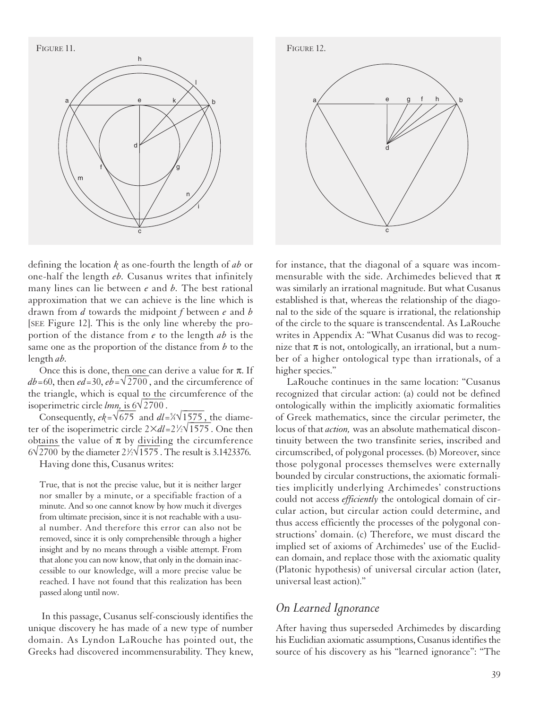



defining the location *k* as one-fourth the length of *ab* or one-half the length *eb.* Cusanus writes that infinitely many lines can lie between *e* and *b.* The best rational approximation that we can achieve is the line which is drawn from *d* towards the midpoint *f* between *e* and *b* [SEE Figure 12]. This is the only line whereby the proportion of the distance from *e* to the length *ab* is the same one as the proportion of the distance from *b* to the length *ab.*

Once this is done, then one can derive a value for  $\pi$ . If *db*=60, then *ed*=30, *eb*= $\sqrt{2700}$ , and the circumference of the triangle, which is equal to the circumference of the isoperimetric circle  $\textit{lmn}_{\textit{l}}$  is 6 $\sqrt{2700}$ . \_ \_  $\overline{a}$  $\overline{a}$ \_

Consequently,  $ek = \sqrt{675}$  and  $dl = \frac{5}{4}\sqrt{45}$ 1 5 7 5 575, the diameter of the isoperimetric circle 2×*dl*=2½√1575. One then obtains the value of  $\pi$  by dividing the circumference  $6\sqrt{2700}$  by the diameter 2½ $\sqrt{1575}$  . The result is 3.1423376.

Having done this, Cusanus writes:

True, that is not the precise value, but it is neither larger nor smaller by a minute, or a specifiable fraction of a minute. And so one cannot know by how much it diverges from ultimate precision, since it is not reachable with a usual number. And therefore this error can also not be removed, since it is only comprehensible through a higher insight and by no means through a visible attempt. From that alone you can now know, that only in the domain inaccessible to our knowledge, will a more precise value be reached. I have not found that this realization has been passed along until now.

In this passage, Cusanus self-consciously identifies the unique discovery he has made of a new type of number domain. As Lyndon LaRouche has pointed out, the Greeks had discovered incommensurability. They knew, for instance, that the diagonal of a square was incommensurable with the side. Archimedes believed that  $\pi$ was similarly an irrational magnitude. But what Cusanus established is that, whereas the relationship of the diagonal to the side of the square is irrational, the relationship of the circle to the square is transcendental. As LaRouche writes in Appendix A: "What Cusanus did was to recognize that  $\pi$  is not, ontologically, an irrational, but a number of a higher ontological type than irrationals, of a higher species."

LaRouche continues in the same location: "Cusanus recognized that circular action: (a) could not be defined ontologically within the implicitly axiomatic formalities of Greek mathematics, since the circular perimeter, the locus of that *action,* was an absolute mathematical discontinuity between the two transfinite series, inscribed and circumscribed, of polygonal processes. (b) Moreover, since those polygonal processes themselves were externally bounded by circular constructions, the axiomatic formalities implicitly underlying Archimedes' constructions could not access *efficiently* the ontological domain of circular action, but circular action could determine, and thus access efficiently the processes of the polygonal constructions' domain. (c) Therefore, we must discard the implied set of axioms of Archimedes' use of the Euclidean domain, and replace those with the axiomatic quality (Platonic hypothesis) of universal circular action (later, universal least action)."

## *On Learned Ignorance*

After having thus superseded Archimedes by discarding his Euclidian axiomatic assumptions, Cusanus identifies the source of his discovery as his "learned ignorance": "The